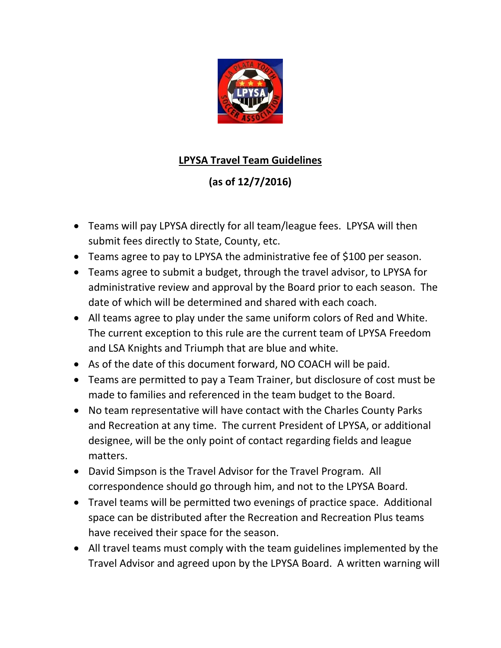

## **LPYSA Travel Team Guidelines**

## **(as of 12/7/2016)**

- Teams will pay LPYSA directly for all team/league fees. LPYSA will then submit fees directly to State, County, etc.
- Teams agree to pay to LPYSA the administrative fee of \$100 per season.
- Teams agree to submit a budget, through the travel advisor, to LPYSA for administrative review and approval by the Board prior to each season. The date of which will be determined and shared with each coach.
- All teams agree to play under the same uniform colors of Red and White. The current exception to this rule are the current team of LPYSA Freedom and LSA Knights and Triumph that are blue and white.
- As of the date of this document forward, NO COACH will be paid.
- Teams are permitted to pay a Team Trainer, but disclosure of cost must be made to families and referenced in the team budget to the Board.
- No team representative will have contact with the Charles County Parks and Recreation at any time. The current President of LPYSA, or additional designee, will be the only point of contact regarding fields and league matters.
- David Simpson is the Travel Advisor for the Travel Program. All correspondence should go through him, and not to the LPYSA Board.
- Travel teams will be permitted two evenings of practice space. Additional space can be distributed after the Recreation and Recreation Plus teams have received their space for the season.
- All travel teams must comply with the team guidelines implemented by the Travel Advisor and agreed upon by the LPYSA Board. A written warning will